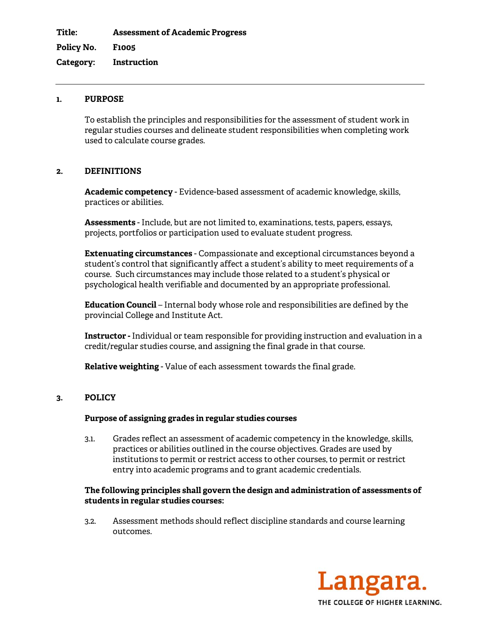**Title: Assessment of Academic Progress** 

**Policy No. F1005** 

**Category: Instruction** 

### **1. PURPOSE**

To establish the principles and responsibilities for the assessment of student work in regular studies courses and delineate student responsibilities when completing work used to calculate course grades.

## **2. DEFINITIONS**

**Academic competency** - Evidence-based assessment of academic knowledge, skills, practices or abilities.

**Assessments** - Include, but are not limited to, examinations, tests, papers, essays, projects, portfolios or participation used to evaluate student progress.

**Extenuating circumstances** - Compassionate and exceptional circumstances beyond a student's control that significantly affect a student's ability to meet requirements of a course. Such circumstances may include those related to a student's physical or psychological health verifiable and documented by an appropriate professional.

**[Education Council](http://www.langara.bc.ca/about-langara/education-council/index.html)** – Internal body whose role and responsibilities are defined by the provincial College and Institute Act.

**Instructor -** Individual or team responsible for providing instruction and evaluation in a credit/regular studies course, and assigning the final grade in that course.

**Relative weighting** - Value of each assessment towards the final grade.

# **3. POLICY**

#### **Purpose of assigning grades in regular studies courses**

3.1. Grades reflect an assessment of academic competency in the knowledge, skills, practices or abilities outlined in the course objectives. Grades are used by institutions to permit or restrict access to other courses, to permit or restrict entry into academic programs and to grant academic credentials.

#### **The following principles shall govern the design and administration of assessments of students in regular studies courses:**

3.2. Assessment methods should reflect discipline standards and course learning outcomes.

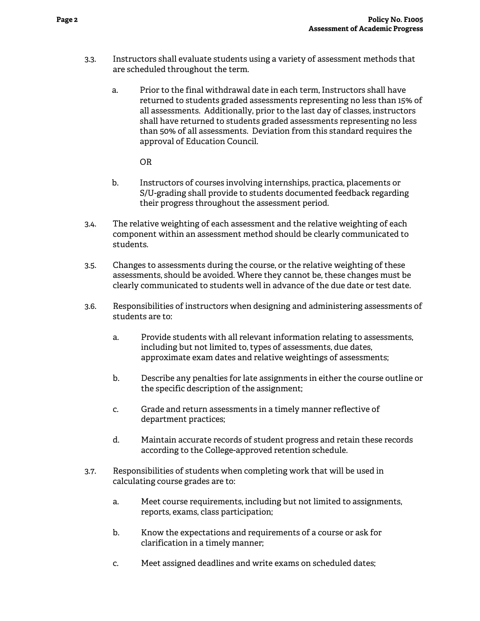- 3.3. Instructors shall evaluate students using a variety of assessment methods that are scheduled throughout the term.
	- a. Prior to the final withdrawal date in each term, Instructors shall have returned to students graded assessments representing no less than 15% of all assessments. Additionally, prior to the last day of classes, instructors shall have returned to students graded assessments representing no less than 50% of all assessments. Deviation from this standard requires the approval of Education Council.

OR

- b. Instructors of courses involving internships, practica, placements or S/U-grading shall provide to students documented feedback regarding their progress throughout the assessment period.
- 3.4. The relative weighting of each assessment and the relative weighting of each component within an assessment method should be clearly communicated to students.
- 3.5. Changes to assessments during the course, or the relative weighting of these assessments, should be avoided. Where they cannot be, these changes must be clearly communicated to students well in advance of the due date or test date.
- 3.6. Responsibilities of instructors when designing and administering assessments of students are to:
	- a. Provide students with all relevant information relating to assessments, including but not limited to, types of assessments, due dates, approximate exam dates and relative weightings of assessments;
	- b. Describe any penalties for late assignments in either the course outline or the specific description of the assignment;
	- c. Grade and return assessments in a timely manner reflective of department practices;
	- d. Maintain accurate records of student progress and retain these records according to the College-approved retention schedule.
- 3.7. Responsibilities of students when completing work that will be used in calculating course grades are to:
	- a. Meet course requirements, including but not limited to assignments, reports, exams, class participation;
	- b. Know the expectations and requirements of a course or ask for clarification in a timely manner;
	- c. Meet assigned deadlines and write exams on scheduled dates;